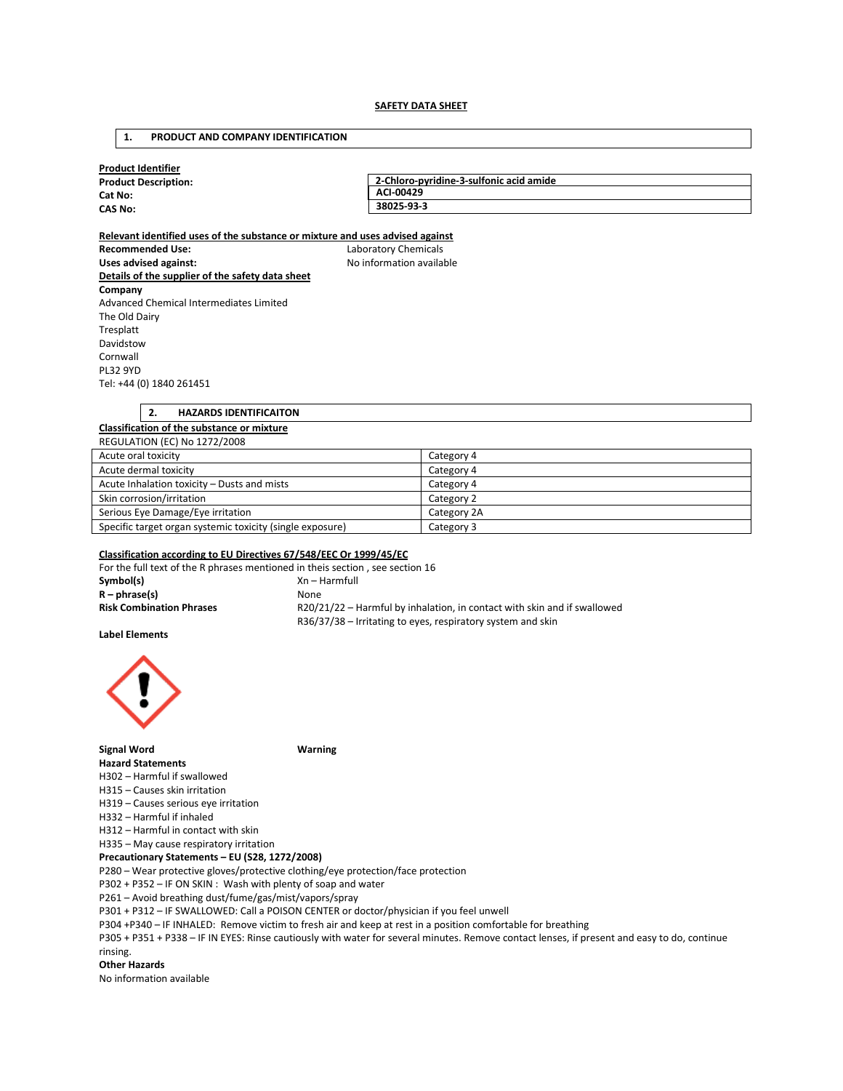#### **SAFETY DATA SHEET**

#### **1. PRODUCT AND COMPANY IDENTIFICATION**

| <b>Product Description:</b> | 2-Chloro-pyridine-3-sulfonic acid amide |  |
|-----------------------------|-----------------------------------------|--|
| Cat No:                     | ACI-00429                               |  |
| <b>CAS No:</b>              | 38025-93-3                              |  |

**Recommended Use:** Laboratory Chemicals Uses advised against: **No information available Details of the supplier of the safety data sheet Company**  Advanced Chemical Intermediates Limited The Old Dairy Tresplatt Davidstow Cornwall PL32 9YD Tel: +44 (0) 1840 261451

**2. HAZARDS IDENTIFICAITON** 

## **Classification of the substance or mixture** REGULATION (EC) No 1272/2008 Acute oral toxicity **Category 4** Acute dermal toxicity **Category 4** Category 4 Acute Inhalation toxicity – Dusts and mists **Category 4** Category 4 Skin corrosion/irritation Category 2 Serious Eye Damage/Eye irritation Category 2A Specific target organ systemic toxicity (single exposure) Category 3

## **Classification according to EU Directives 67/548/EEC Or 1999/45/EC**

For the full text of the R phrases mentioned in theis section, see section 16 **Symbol(s)** Xn – Harmfull **R – phrase(s)** None **Risk Combination Phrases** R20/21/22 – Harmful by inhalation, in contact with skin and if swallowed R36/37/38 – Irritating to eyes, respiratory system and skin

**Label Elements** 



**Signal Word Warning** 

**Hazard Statements**  H302 – Harmful if swallowed

H315 – Causes skin irritation

H319 – Causes serious eye irritation

H332 – Harmful if inhaled

H312 – Harmful in contact with skin

H335 – May cause respiratory irritation

**Precautionary Statements – EU (S28, 1272/2008)** 

P280 – Wear protective gloves/protective clothing/eye protection/face protection

P302 + P352 – IF ON SKIN : Wash with plenty of soap and water

P261 – Avoid breathing dust/fume/gas/mist/vapors/spray

P301 + P312 – IF SWALLOWED: Call a POISON CENTER or doctor/physician if you feel unwell

P304 +P340 – IF INHALED: Remove victim to fresh air and keep at rest in a position comfortable for breathing

P305 + P351 + P338 – IF IN EYES: Rinse cautiously with water for several minutes. Remove contact lenses, if present and easy to do, continue rinsing.

#### **Other Hazards**

No information available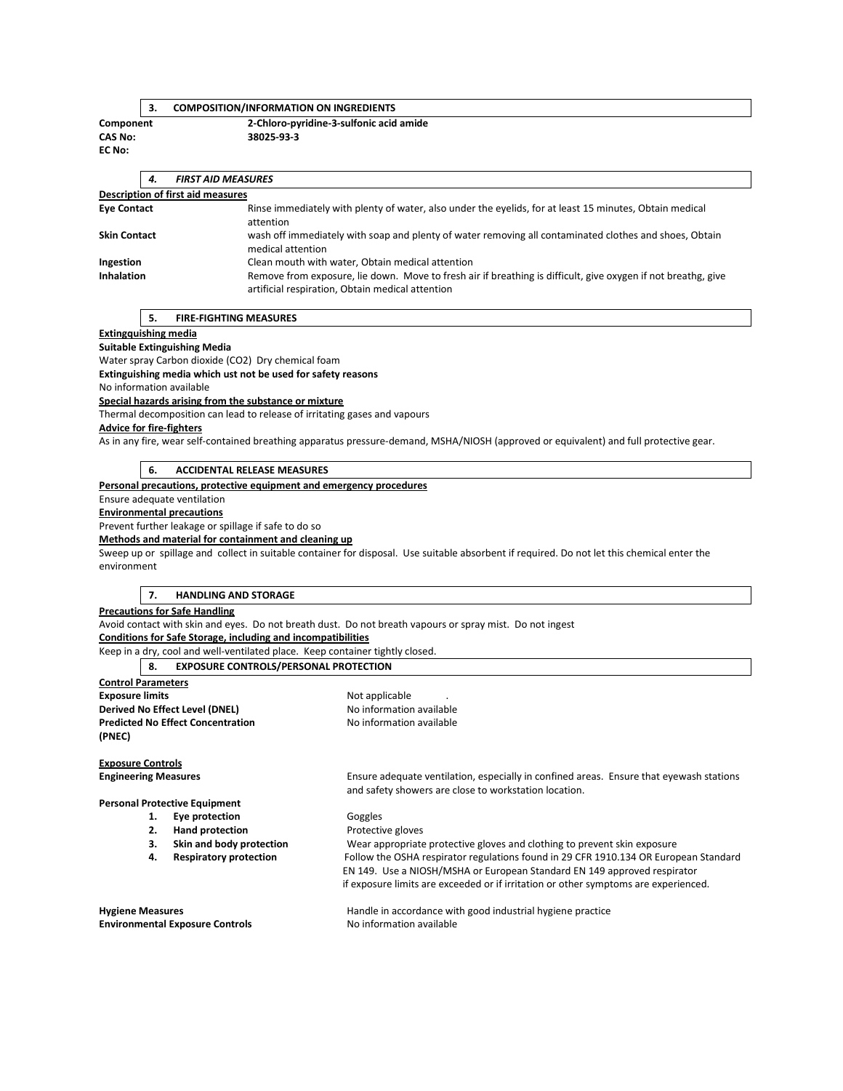## **3. COMPOSITION/INFORMATION ON INGREDIENTS**

**EC No:** 

**Component 2-Chloro-pyridine-3-sulfonic acid amide CAS No: 38025-93-3** 

|                                          | 4. | <b>FIRST AID MEASURES</b>                                                                                                                                         |  |  |  |  |
|------------------------------------------|----|-------------------------------------------------------------------------------------------------------------------------------------------------------------------|--|--|--|--|
| <b>Description of first aid measures</b> |    |                                                                                                                                                                   |  |  |  |  |
| <b>Eve Contact</b>                       |    | Rinse immediately with plenty of water, also under the eyelids, for at least 15 minutes, Obtain medical<br>attention                                              |  |  |  |  |
| <b>Skin Contact</b>                      |    | wash off immediately with soap and plenty of water removing all contaminated clothes and shoes, Obtain<br>medical attention                                       |  |  |  |  |
| Ingestion                                |    | Clean mouth with water, Obtain medical attention                                                                                                                  |  |  |  |  |
| <b>Inhalation</b>                        |    | Remove from exposure, lie down. Move to fresh air if breathing is difficult, give oxygen if not breathg, give<br>artificial respiration, Obtain medical attention |  |  |  |  |

**5. FIRE-FIGHTING MEASURES** 

**Extingquishing media**

**Suitable Extinguishing Media** 

Water spray Carbon dioxide (CO2) Dry chemical foam

**Extinguishing media which ust not be used for safety reasons** 

No information available

# **Special hazards arising from the substance or mixture**

Thermal decomposition can lead to release of irritating gases and vapours

#### **Advice for fire-fighters**

As in any fire, wear self-contained breathing apparatus pressure-demand, MSHA/NIOSH (approved or equivalent) and full protective gear.

## **6. ACCIDENTAL RELEASE MEASURES**

**Personal precautions, protective equipment and emergency procedures**

#### Ensure adequate ventilation

**Environmental precautions**

Prevent further leakage or spillage if safe to do so

**Methods and material for containment and cleaning up**

Sweep up or spillage and collect in suitable container for disposal. Use suitable absorbent if required. Do not let this chemical enter the environment

#### **7. HANDLING AND STORAGE**

**Precautions for Safe Handling**

Avoid contact with skin and eyes. Do not breath dust. Do not breath vapours or spray mist. Do not ingest

**Conditions for Safe Storage, including and incompatibilities**

Keep in a dry, cool and well-ventilated place. Keep container tightly closed.

|                                       |  | 8. EXPOSURE CONTROLS/PERSONAL PROTECTION |            |
|---------------------------------------|--|------------------------------------------|------------|
| <b>Control Parameters</b>             |  |                                          |            |
| <b>Exposure limits</b>                |  |                                          | Not applic |
| <b>Derived No Effect Level (DNEL)</b> |  |                                          | No inform  |
| (PNEC)                                |  | <b>Predicted No Effect Concentration</b> | No inform  |

**Not applicable No information available No information available** 

**Exposure Controls**

**Personal Protective Equipment** 

- **1. Eye protection Coggles**<br> **2. Hand protection Protection**
- **2. Hand protection 2.** Protective gloves
- 
- 

**Environmental Exposure Controls** 

**Engineering Measures** Ensure adequate ventilation, especially in confined areas. Ensure that eyewash stations and safety showers are close to workstation location.

**3. Skin and body protection** Wear appropriate protective gloves and clothing to prevent skin exposure **4. Respiratory protection** Follow the OSHA respirator regulations found in 29 CFR 1910.134 OR European Standard EN 149. Use a NIOSH/MSHA or European Standard EN 149 approved respirator if exposure limits are exceeded or if irritation or other symptoms are experienced.

**Hygiene Measures** Handle in accordance with good industrial hygiene practice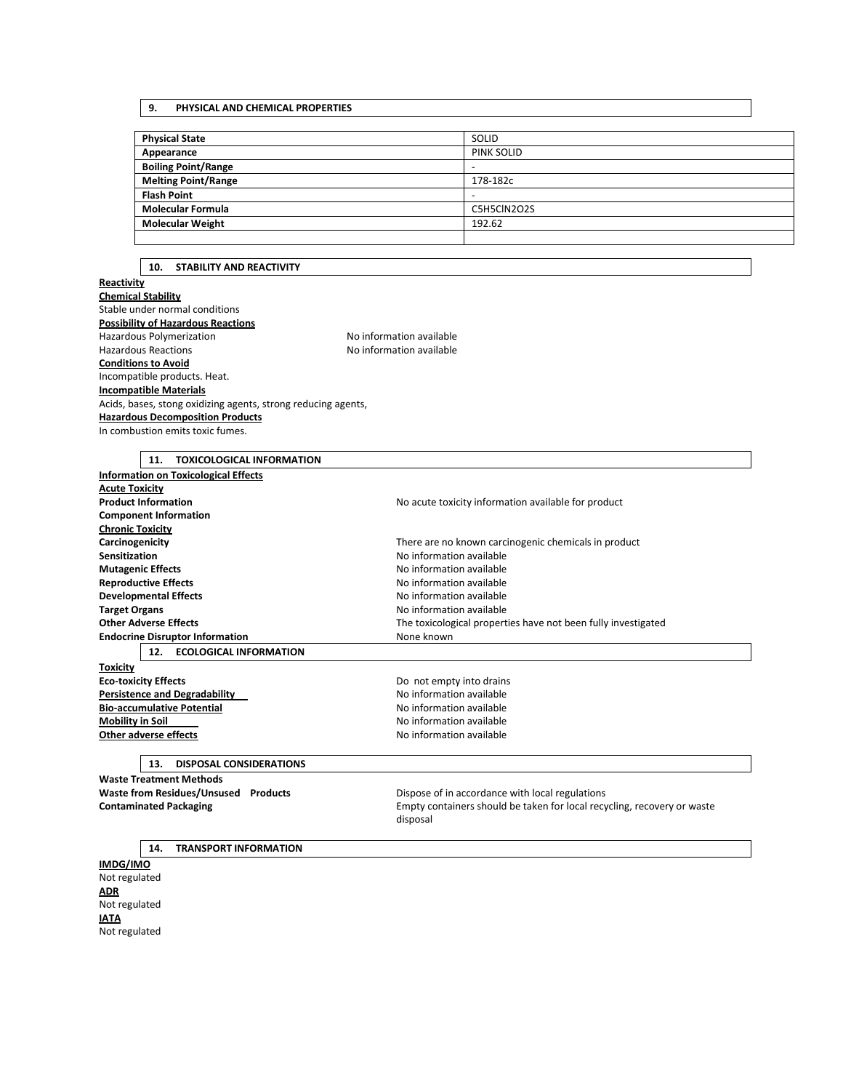## **9. PHYSICAL AND CHEMICAL PROPERTIES**

| <b>Physical State</b>      | SOLID             |
|----------------------------|-------------------|
| Appearance                 | <b>PINK SOLID</b> |
| <b>Boiling Point/Range</b> | -                 |
| <b>Melting Point/Range</b> | 178-182c          |
| <b>Flash Point</b>         | -                 |
| <b>Molecular Formula</b>   | C5H5ClN2O2S       |
| <b>Molecular Weight</b>    | 192.62            |
|                            |                   |

#### **10. STABILITY AND REACTIVITY**

# **Reactivity**

**Chemical Stability** Stable under normal conditions **Possibility of Hazardous Reactions** Hazardous Polymerization **No information available** Hazardous Reactions **No information available Conditions to Avoid** Incompatible products. Heat. **Incompatible Materials** Acids, bases, stong oxidizing agents, strong reducing agents, **Hazardous Decomposition Products** In combustion emits toxic fumes.

# **11. TOXICOLOGICAL INFORMATION Information on Toxicological Effects Acute Toxicity Product Information No acute toxicity information available for product Component Information Chronic Toxicity Carcinogenicity** There are no known carcinogenic chemicals in product **Sensitization Sensitization No information available Mutagenic Effects Mutagenic Effects No information available Reproductive Effects No information available Developmental Effects No information available Target Organs No. 2016 No. 2016 No. 2016 No. 2016 No. 2016 No. 2016 No. 2016 No. 2016 No. 2016 No. 2016 No. 2016 No. 2016 No. 2016 No. 2016 No. 2016 No. 2016 No. 2016 No. 2016 No. 201 Other Adverse Effects** The toxicological properties have not been fully investigated **Endocrine Disruptor Information None known 12. ECOLOGICAL INFORMATION Toxicity Eco-toxicity Effects Do not empty into drains Persistence and Degradability** 2002 2003 2004 No information available **Bio-accumulative Potential No information available No information available Mobility in Soil Mobility in Soil Other adverse effects No information available**

#### **13. DISPOSAL CONSIDERATIONS**

**Waste Treatment Methods**  Waste from Residues/Unsused Products **Dispose of in accordance with local regulations** 

**Contaminated Packaging The Containers should be taken for local recycling, recovery or waste** disposal

#### **14. TRANSPORT INFORMATION**

**IMDG/IMO** Not regulated **ADR** Not regulated **IATA** Not regulated